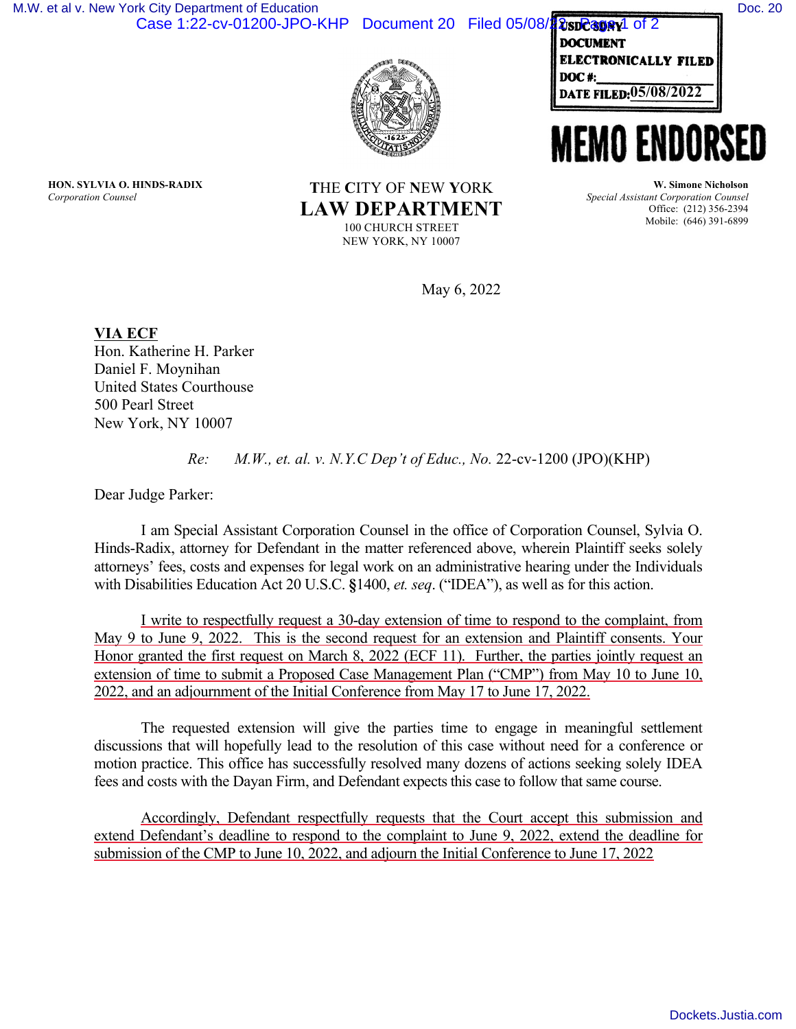[Dockets.Justia.com](https://dockets.justia.com/)

DATE FILED:<u>05/08/2022</u> **ELECTRONICALLY FILED DOC#:. \_\_\_\_\_\_ \_** 

## **MEMO ENDORSE**

*Special Assistant Corporation Counsel* Office: (212) 356-2394 Mobile: (646) 391-6899

May 6, 2022

**VIA ECF**  Hon. Katherine H. Parker Daniel F. Moynihan United States Courthouse 500 Pearl Street New York, NY 10007

*Re: M.W., et. al. v. N.Y.C Dep't of Educ., No.* 22-cv-1200 (JPO)(KHP)

Dear Judge Parker:

I am Special Assistant Corporation Counsel in the office of Corporation Counsel, Sylvia O. Hinds-Radix, attorney for Defendant in the matter referenced above, wherein Plaintiff seeks solely attorneys' fees, costs and expenses for legal work on an administrative hearing under the Individuals with Disabilities Education Act 20 U.S.C. **§**1400, *et. seq*. ("IDEA"), as well as for this action.

I write to respectfully request a 30-day extension of time to respond to the complaint, from May 9 to June 9, 2022. This is the second request for an extension and Plaintiff consents. Your Honor granted the first request on March 8, 2022 (ECF 11). Further, the parties jointly request an extension of time to submit a Proposed Case Management Plan ("CMP") from May 10 to June 10, 2022, and an adjournment of the Initial Conference from May 17 to June 17, 2022.

The requested extension will give the parties time to engage in meaningful settlement discussions that will hopefully lead to the resolution of this case without need for a conference or motion practice. This office has successfully resolved many dozens of actions seeking solely IDEA fees and costs with the Dayan Firm, and Defendant expects this case to follow that same course.

Accordingly, Defendant respectfully requests that the Court accept this submission and extend Defendant's deadline to respond to the complaint to June 9, 2022, extend the deadline for submission of the CMP to June 10, 2022, and adjourn the Initial Conference to June 17, 2022

**USDC3DRY**1 of 2 Case 1:22-cv-01200-JPO-KHP Document 20 Filed 05/08/1 [M.W. et al v. New York City Department of Education](https://dockets.justia.com/docket/new-york/nysdce/1:2022cv01200/574822/) [Doc. 20](https://docs.justia.com/cases/federal/district-courts/new-york/nysdce/1:2022cv01200/574822/20/)

**T**HE **C**ITY OF **N**EW **Y**ORK

**LAW DEPARTMENT** 100 CHURCH STREET NEW YORK, NY 10007

**HON. SYLVIA O. HINDS-RADIX** *Corporation Counsel*

**W. Simone Nicholson**